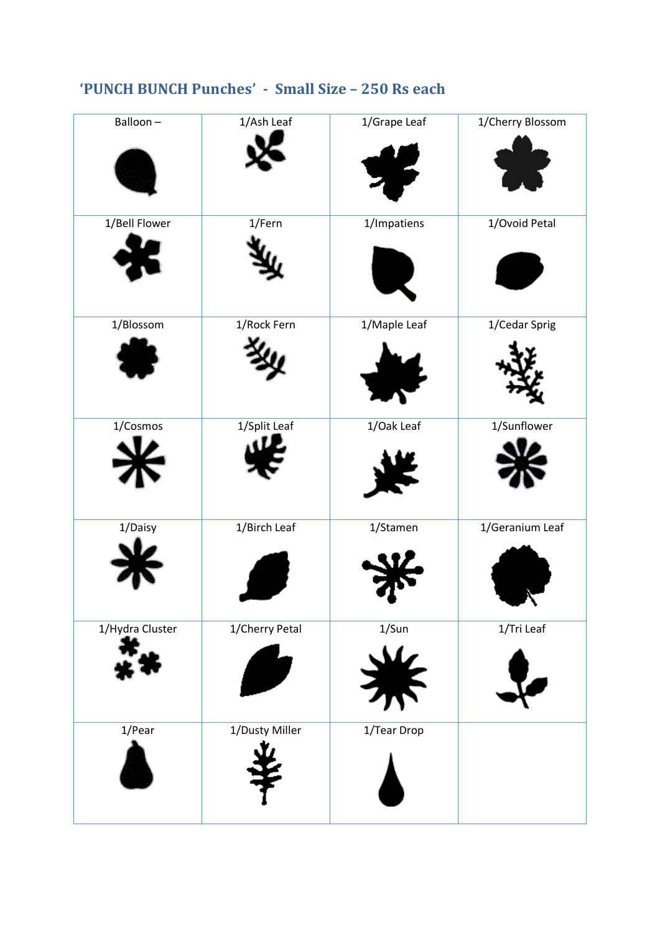| 'PUNCH BUNCH Punches' - Small Size - 250 Rs each |  |
|--------------------------------------------------|--|
|--------------------------------------------------|--|

| Balloon-        | 1/Ash Leaf     | 1/Grape Leaf | 1/Cherry Blossom |
|-----------------|----------------|--------------|------------------|
| 1/Bell Flower   | 1/Fern         | 1/Impatiens  | 1/Ovoid Petal    |
| 1/Blossom       | 1/Rock Fern    | 1/Maple Leaf | 1/Cedar Sprig    |
| 1/Cosmos        | 1/Split Leaf   | 1/Oak Leaf   | 1/Sunflower      |
| 1/Daisy         | 1/Birch Leaf   | 1/Stamen     | 1/Geranium Leaf  |
| 1/Hydra Cluster | 1/Cherry Petal | 1/Sun        | 1/Tri Leaf       |
| 1/Pear          | 1/Dusty Miller | 1/Tear Drop  |                  |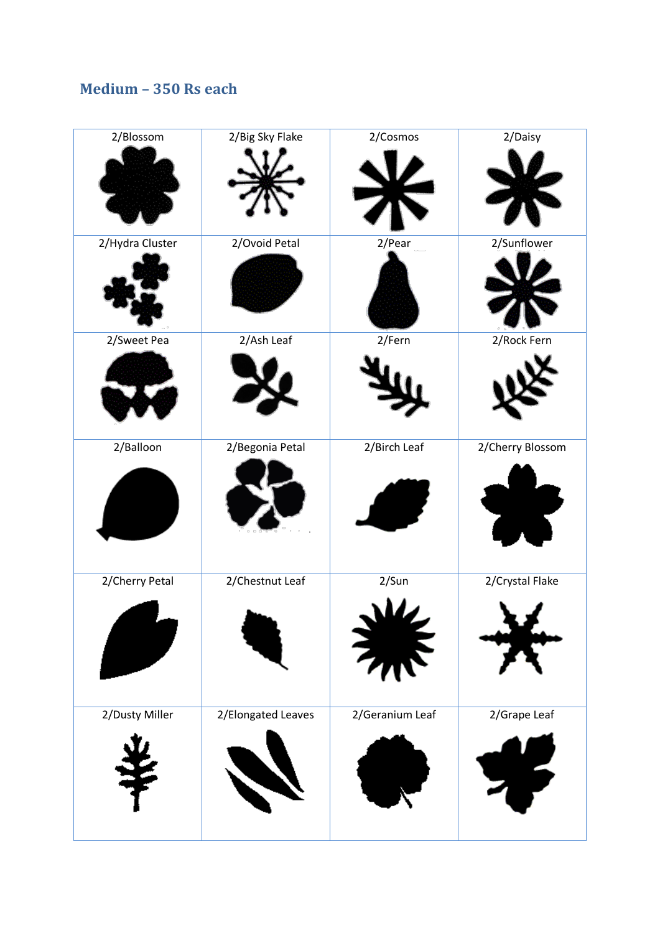### **Medium – 350 Rs each**

| 2/Blossom       | 2/Big Sky Flake    | 2/Cosmos        | 2/Daisy          |
|-----------------|--------------------|-----------------|------------------|
|                 |                    |                 |                  |
|                 |                    |                 |                  |
|                 |                    |                 |                  |
| 2/Hydra Cluster | 2/Ovoid Petal      | 2/Pear          | 2/Sunflower      |
|                 |                    |                 |                  |
|                 |                    |                 |                  |
|                 |                    |                 |                  |
| 2/Sweet Pea     | 2/Ash Leaf         | 2/Fern          | 2/Rock Fern      |
|                 |                    |                 |                  |
|                 |                    |                 |                  |
|                 |                    |                 |                  |
| 2/Balloon       | 2/Begonia Petal    | 2/Birch Leaf    | 2/Cherry Blossom |
|                 |                    |                 |                  |
|                 |                    |                 |                  |
|                 |                    |                 |                  |
|                 |                    |                 |                  |
| 2/Cherry Petal  | 2/Chestnut Leaf    | 2/Sun           | 2/Crystal Flake  |
|                 |                    |                 |                  |
|                 |                    |                 |                  |
|                 |                    |                 |                  |
|                 |                    |                 |                  |
| 2/Dusty Miller  | 2/Elongated Leaves | 2/Geranium Leaf | 2/Grape Leaf     |
|                 |                    |                 |                  |
|                 |                    |                 |                  |
|                 |                    |                 |                  |
|                 |                    |                 |                  |
|                 |                    |                 |                  |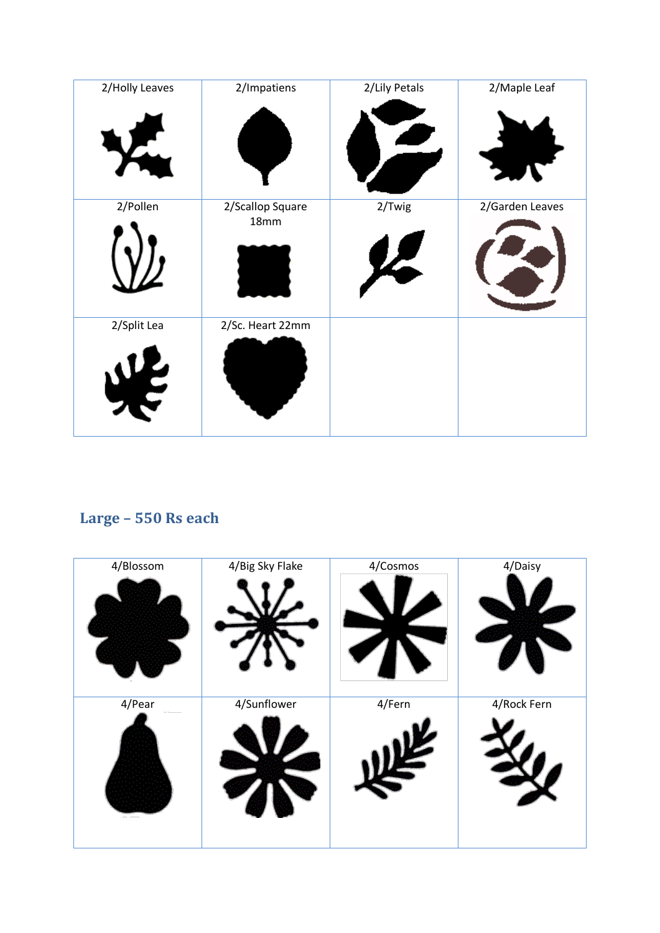| 2/Holly Leaves | 2/Impatiens              | 2/Lily Petals              | 2/Maple Leaf    |
|----------------|--------------------------|----------------------------|-----------------|
|                |                          |                            |                 |
| 2/Pollen       | 2/Scallop Square<br>18mm | 2/Twig                     | 2/Garden Leaves |
|                |                          | $\boldsymbol{\mathcal{F}}$ |                 |
| 2/Split Lea    | 2/Sc. Heart 22mm         |                            |                 |
|                |                          |                            |                 |

## **Large – 550 Rs each**

| 4/Blossom | 4/Big Sky Flake | 4/Cosmos | 4/Daisy     |
|-----------|-----------------|----------|-------------|
|           |                 |          |             |
| 4/Pear    | 4/Sunflower     | 4/Fern   | 4/Rock Fern |
|           |                 |          |             |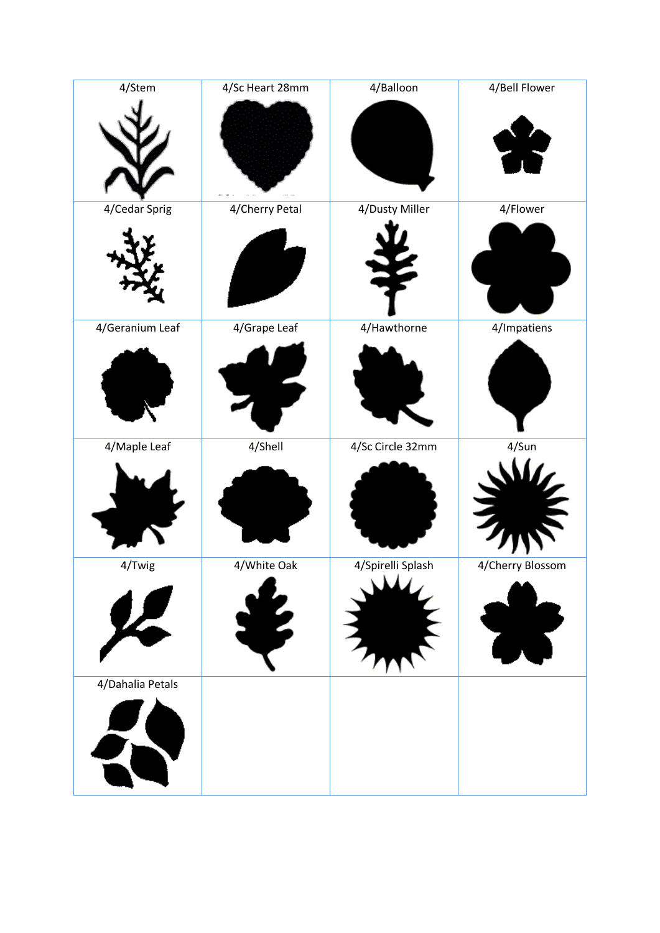| 4/Stem           | 4/Sc Heart 28mm | 4/Balloon         | 4/Bell Flower    |
|------------------|-----------------|-------------------|------------------|
|                  |                 |                   |                  |
|                  |                 |                   |                  |
|                  |                 |                   |                  |
|                  |                 |                   |                  |
| 4/Cedar Sprig    | 4/Cherry Petal  | 4/Dusty Miller    | 4/Flower         |
|                  |                 |                   |                  |
|                  |                 |                   |                  |
|                  |                 |                   |                  |
| 4/Geranium Leaf  | 4/Grape Leaf    | 4/Hawthorne       | 4/Impatiens      |
|                  |                 |                   |                  |
|                  |                 |                   |                  |
|                  |                 |                   |                  |
| 4/Maple Leaf     | 4/Shell         | 4/Sc Circle 32mm  | 4/Sun            |
|                  |                 |                   |                  |
|                  |                 |                   |                  |
|                  |                 |                   |                  |
|                  |                 |                   |                  |
| 4/Twig           | 4/White Oak     | 4/Spirelli Splash | 4/Cherry Blossom |
|                  |                 |                   |                  |
|                  |                 |                   |                  |
|                  |                 |                   |                  |
| 4/Dahalia Petals |                 |                   |                  |
|                  |                 |                   |                  |
|                  |                 |                   |                  |
|                  |                 |                   |                  |
|                  |                 |                   |                  |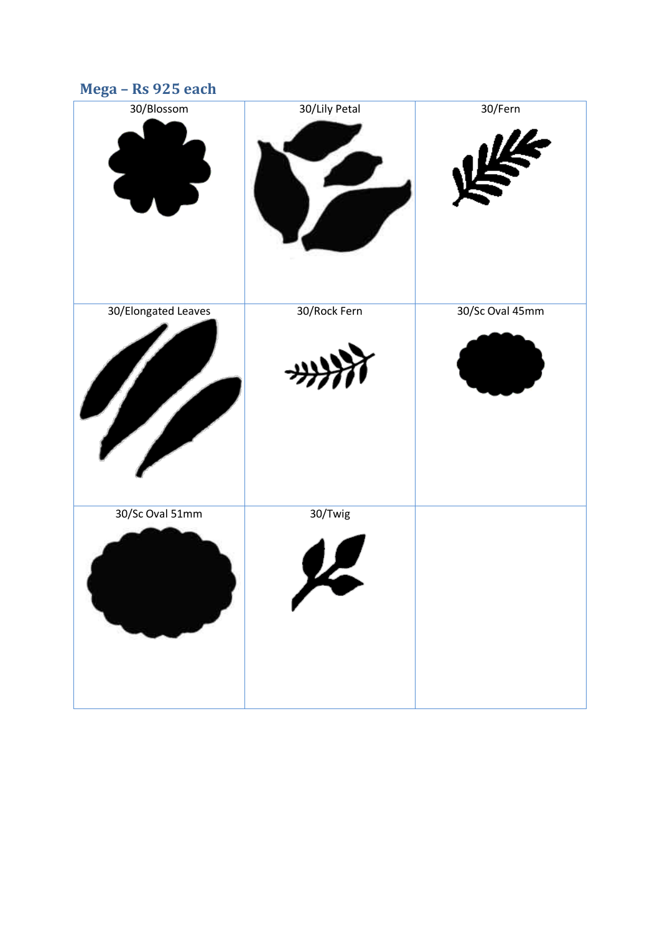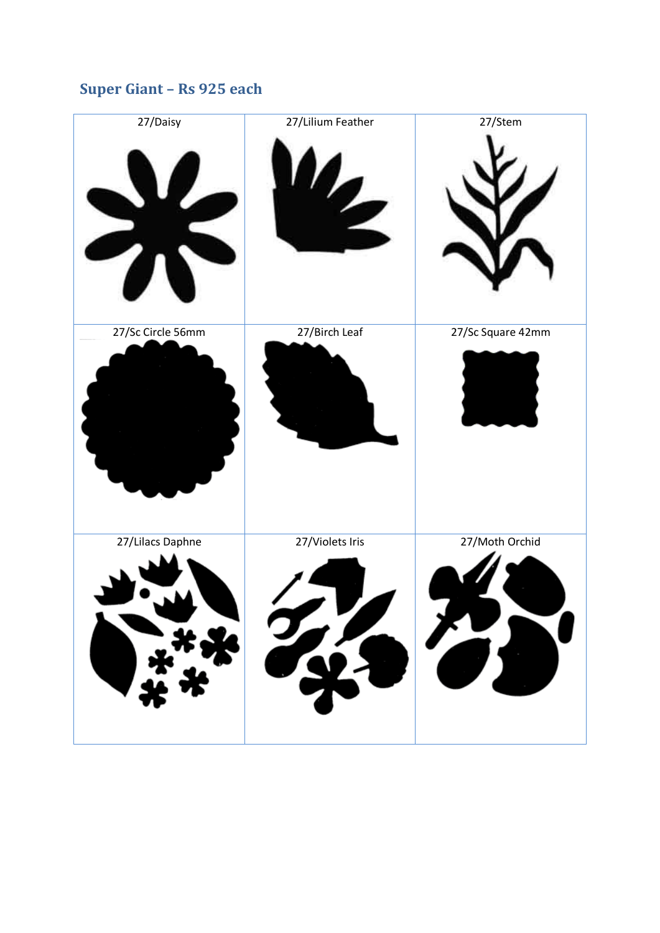## **Super Giant – Rs 925 each**

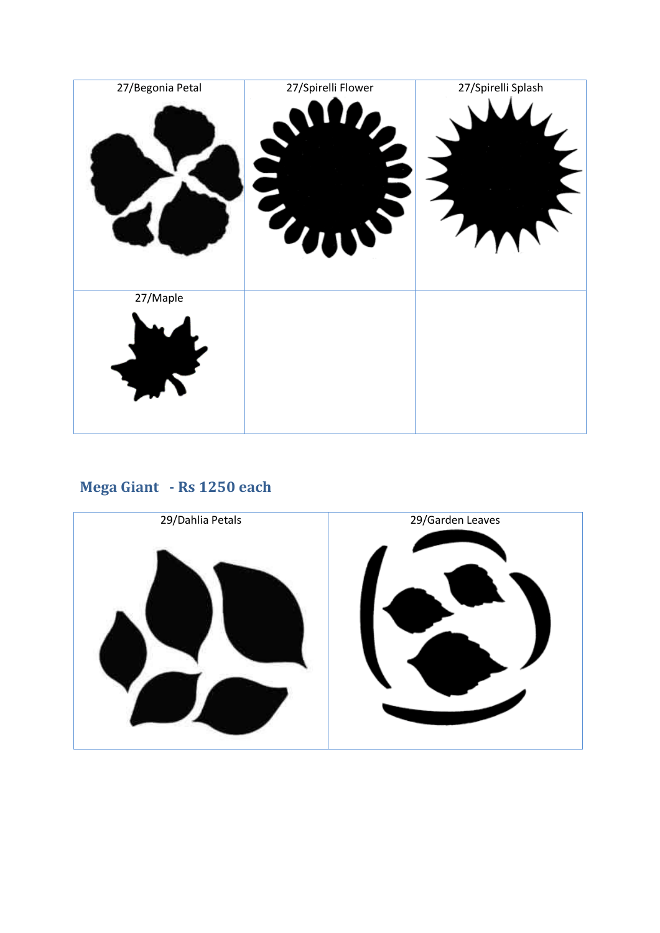![](_page_6_Figure_0.jpeg)

# **Mega Giant - Rs 1250 each**

![](_page_6_Picture_2.jpeg)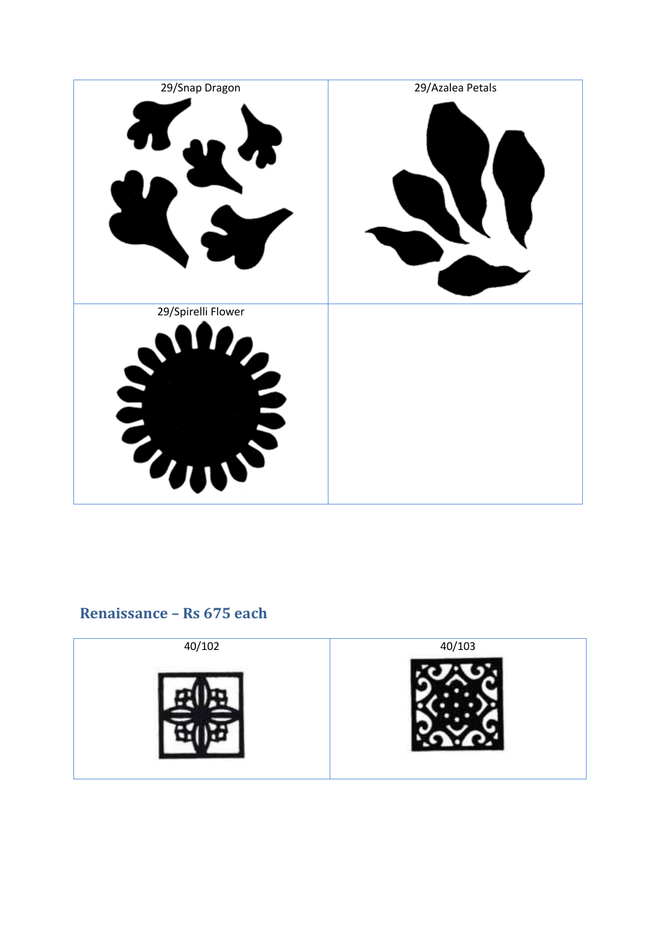![](_page_7_Picture_0.jpeg)

#### **Renaissance – Rs 675 each**

![](_page_7_Picture_2.jpeg)